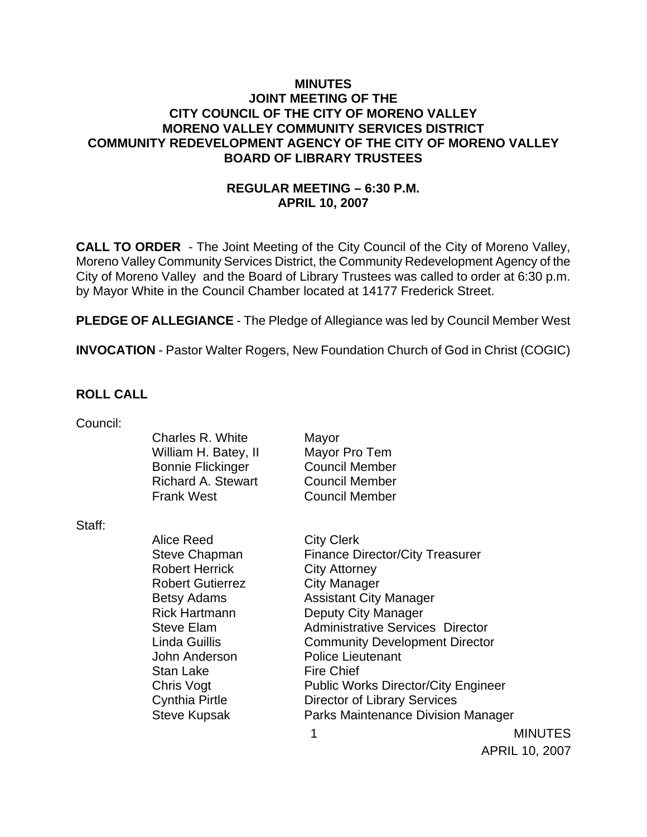### **MINUTES JOINT MEETING OF THE CITY COUNCIL OF THE CITY OF MORENO VALLEY MORENO VALLEY COMMUNITY SERVICES DISTRICT COMMUNITY REDEVELOPMENT AGENCY OF THE CITY OF MORENO VALLEY BOARD OF LIBRARY TRUSTEES**

# **REGULAR MEETING – 6:30 P.M. APRIL 10, 2007**

**CALL TO ORDER** - The Joint Meeting of the City Council of the City of Moreno Valley, Moreno Valley Community Services District, the Community Redevelopment Agency of the City of Moreno Valley and the Board of Library Trustees was called to order at 6:30 p.m. by Mayor White in the Council Chamber located at 14177 Frederick Street.

**PLEDGE OF ALLEGIANCE** - The Pledge of Allegiance was led by Council Member West

**INVOCATION** - Pastor Walter Rogers, New Foundation Church of God in Christ (COGIC)

### **ROLL CALL**

| Council: |                           |                                            |
|----------|---------------------------|--------------------------------------------|
|          | Charles R. White          | Mayor                                      |
|          | William H. Batey, II      | Mayor Pro Tem                              |
|          | <b>Bonnie Flickinger</b>  | <b>Council Member</b>                      |
|          | <b>Richard A. Stewart</b> | <b>Council Member</b>                      |
|          | <b>Frank West</b>         | <b>Council Member</b>                      |
| Staff:   |                           |                                            |
|          | Alice Reed                | <b>City Clerk</b>                          |
|          | <b>Steve Chapman</b>      | <b>Finance Director/City Treasurer</b>     |
|          | <b>Robert Herrick</b>     | <b>City Attorney</b>                       |
|          |                           |                                            |
|          | <b>Robert Gutierrez</b>   | <b>City Manager</b>                        |
|          | <b>Betsy Adams</b>        | <b>Assistant City Manager</b>              |
|          | <b>Rick Hartmann</b>      | Deputy City Manager                        |
|          | <b>Steve Elam</b>         | <b>Administrative Services Director</b>    |
|          | Linda Guillis             | <b>Community Development Director</b>      |
|          | John Anderson             | <b>Police Lieutenant</b>                   |
|          | <b>Stan Lake</b>          | <b>Fire Chief</b>                          |
|          | Chris Vogt                | <b>Public Works Director/City Engineer</b> |
|          | Cynthia Pirtle            | Director of Library Services               |

Steve Kupsak Parks Maintenance Division Manager

 1 MINUTES APRIL 10, 2007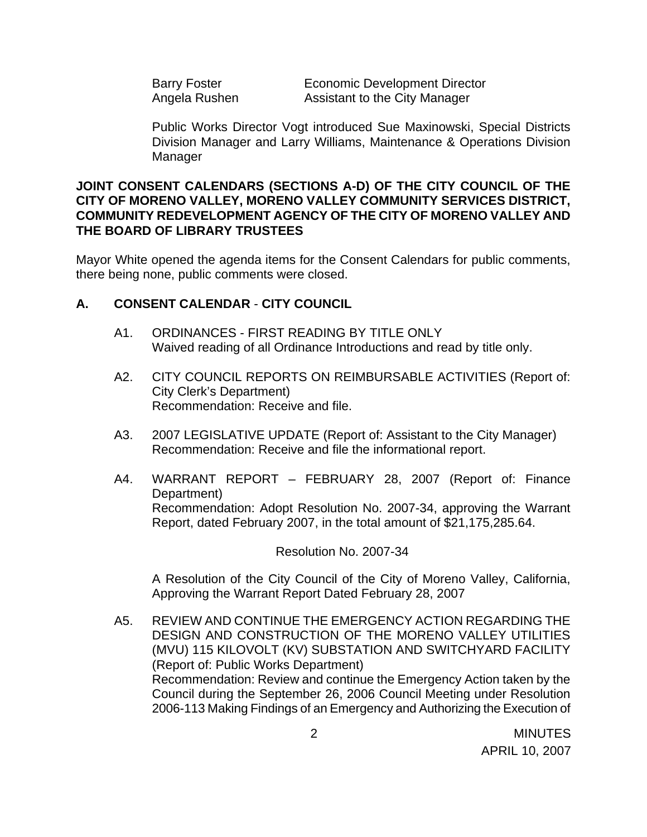Barry Foster **Economic Development Director** Angela Rushen Assistant to the City Manager

Public Works Director Vogt introduced Sue Maxinowski, Special Districts Division Manager and Larry Williams, Maintenance & Operations Division Manager

### **JOINT CONSENT CALENDARS (SECTIONS A-D) OF THE CITY COUNCIL OF THE CITY OF MORENO VALLEY, MORENO VALLEY COMMUNITY SERVICES DISTRICT, COMMUNITY REDEVELOPMENT AGENCY OF THE CITY OF MORENO VALLEY AND THE BOARD OF LIBRARY TRUSTEES**

Mayor White opened the agenda items for the Consent Calendars for public comments, there being none, public comments were closed.

## **A. CONSENT CALENDAR** - **CITY COUNCIL**

- A1. ORDINANCES FIRST READING BY TITLE ONLY Waived reading of all Ordinance Introductions and read by title only.
- A2. CITY COUNCIL REPORTS ON REIMBURSABLE ACTIVITIES (Report of: City Clerk's Department) Recommendation: Receive and file.
- A3. 2007 LEGISLATIVE UPDATE (Report of: Assistant to the City Manager) Recommendation: Receive and file the informational report.
- A4. WARRANT REPORT FEBRUARY 28, 2007 (Report of: Finance Department) Recommendation: Adopt Resolution No. 2007-34, approving the Warrant Report, dated February 2007, in the total amount of \$21,175,285.64.

Resolution No. 2007-34

A Resolution of the City Council of the City of Moreno Valley, California, Approving the Warrant Report Dated February 28, 2007

A5. REVIEW AND CONTINUE THE EMERGENCY ACTION REGARDING THE DESIGN AND CONSTRUCTION OF THE MORENO VALLEY UTILITIES (MVU) 115 KILOVOLT (KV) SUBSTATION AND SWITCHYARD FACILITY (Report of: Public Works Department) Recommendation: Review and continue the Emergency Action taken by the Council during the September 26, 2006 Council Meeting under Resolution 2006-113 Making Findings of an Emergency and Authorizing the Execution of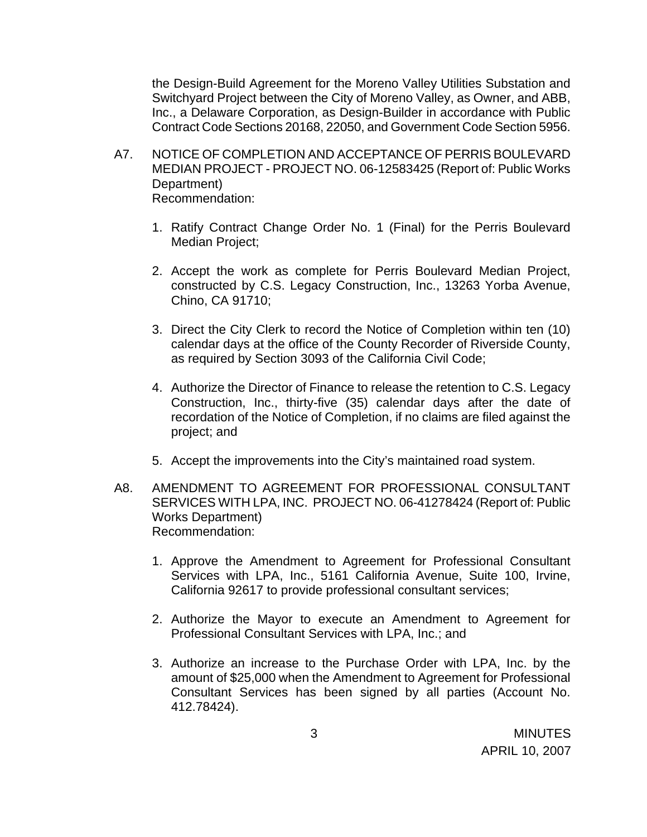the Design-Build Agreement for the Moreno Valley Utilities Substation and Switchyard Project between the City of Moreno Valley, as Owner, and ABB, Inc., a Delaware Corporation, as Design-Builder in accordance with Public Contract Code Sections 20168, 22050, and Government Code Section 5956.

- A7. NOTICE OF COMPLETION AND ACCEPTANCE OF PERRIS BOULEVARD MEDIAN PROJECT - PROJECT NO. 06-12583425 (Report of: Public Works Department) Recommendation:
	- 1. Ratify Contract Change Order No. 1 (Final) for the Perris Boulevard Median Project;
	- 2. Accept the work as complete for Perris Boulevard Median Project, constructed by C.S. Legacy Construction, Inc., 13263 Yorba Avenue, Chino, CA 91710;
	- 3. Direct the City Clerk to record the Notice of Completion within ten (10) calendar days at the office of the County Recorder of Riverside County, as required by Section 3093 of the California Civil Code;
	- 4. Authorize the Director of Finance to release the retention to C.S. Legacy Construction, Inc., thirty-five (35) calendar days after the date of recordation of the Notice of Completion, if no claims are filed against the project; and
	- 5. Accept the improvements into the City's maintained road system.
- A8. AMENDMENT TO AGREEMENT FOR PROFESSIONAL CONSULTANT SERVICES WITH LPA, INC. PROJECT NO. 06-41278424 (Report of: Public Works Department) Recommendation:
	- 1. Approve the Amendment to Agreement for Professional Consultant Services with LPA, Inc., 5161 California Avenue, Suite 100, Irvine, California 92617 to provide professional consultant services;
	- 2. Authorize the Mayor to execute an Amendment to Agreement for Professional Consultant Services with LPA, Inc.; and
	- 3. Authorize an increase to the Purchase Order with LPA, Inc. by the amount of \$25,000 when the Amendment to Agreement for Professional Consultant Services has been signed by all parties (Account No. 412.78424).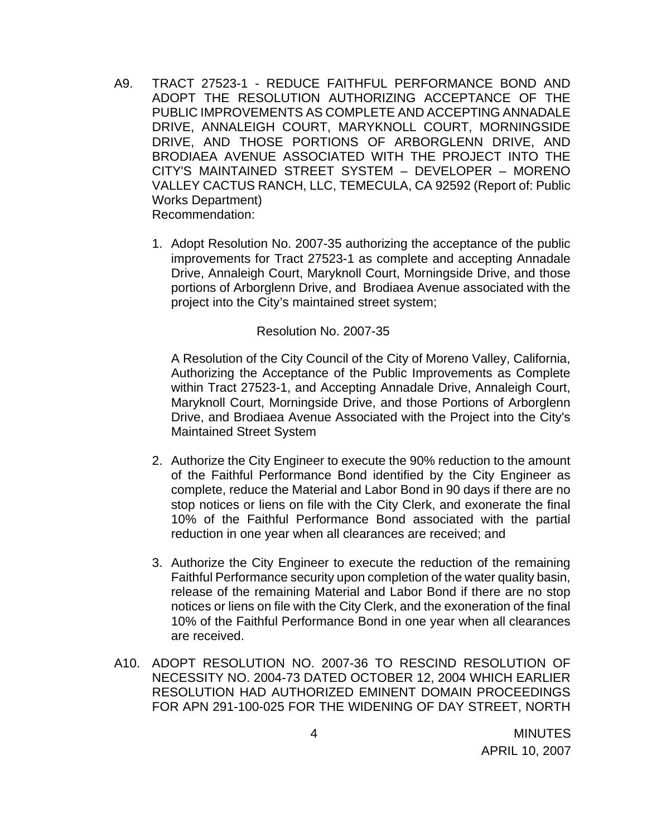- A9. TRACT 27523-1 REDUCE FAITHFUL PERFORMANCE BOND AND ADOPT THE RESOLUTION AUTHORIZING ACCEPTANCE OF THE PUBLIC IMPROVEMENTS AS COMPLETE AND ACCEPTING ANNADALE DRIVE, ANNALEIGH COURT, MARYKNOLL COURT, MORNINGSIDE DRIVE, AND THOSE PORTIONS OF ARBORGLENN DRIVE, AND BRODIAEA AVENUE ASSOCIATED WITH THE PROJECT INTO THE CITY'S MAINTAINED STREET SYSTEM – DEVELOPER – MORENO VALLEY CACTUS RANCH, LLC, TEMECULA, CA 92592 (Report of: Public Works Department) Recommendation:
	- 1. Adopt Resolution No. 2007-35 authorizing the acceptance of the public improvements for Tract 27523-1 as complete and accepting Annadale Drive, Annaleigh Court, Maryknoll Court, Morningside Drive, and those portions of Arborglenn Drive, and Brodiaea Avenue associated with the project into the City's maintained street system;

#### Resolution No. 2007-35

A Resolution of the City Council of the City of Moreno Valley, California, Authorizing the Acceptance of the Public Improvements as Complete within Tract 27523-1, and Accepting Annadale Drive, Annaleigh Court, Maryknoll Court, Morningside Drive, and those Portions of Arborglenn Drive, and Brodiaea Avenue Associated with the Project into the City's Maintained Street System

- 2. Authorize the City Engineer to execute the 90% reduction to the amount of the Faithful Performance Bond identified by the City Engineer as complete, reduce the Material and Labor Bond in 90 days if there are no stop notices or liens on file with the City Clerk, and exonerate the final 10% of the Faithful Performance Bond associated with the partial reduction in one year when all clearances are received; and
- 3. Authorize the City Engineer to execute the reduction of the remaining Faithful Performance security upon completion of the water quality basin, release of the remaining Material and Labor Bond if there are no stop notices or liens on file with the City Clerk, and the exoneration of the final 10% of the Faithful Performance Bond in one year when all clearances are received.
- A10. ADOPT RESOLUTION NO. 2007-36 TO RESCIND RESOLUTION OF NECESSITY NO. 2004-73 DATED OCTOBER 12, 2004 WHICH EARLIER RESOLUTION HAD AUTHORIZED EMINENT DOMAIN PROCEEDINGS FOR APN 291-100-025 FOR THE WIDENING OF DAY STREET, NORTH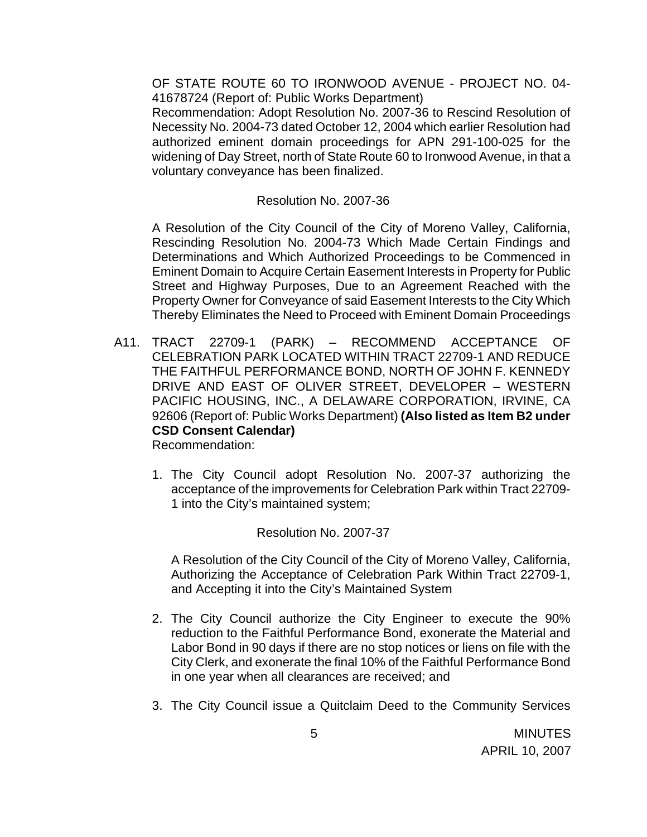OF STATE ROUTE 60 TO IRONWOOD AVENUE - PROJECT NO. 04- 41678724 (Report of: Public Works Department)

 Recommendation: Adopt Resolution No. 2007-36 to Rescind Resolution of Necessity No. 2004-73 dated October 12, 2004 which earlier Resolution had authorized eminent domain proceedings for APN 291-100-025 for the widening of Day Street, north of State Route 60 to Ironwood Avenue, in that a voluntary conveyance has been finalized.

#### Resolution No. 2007-36

A Resolution of the City Council of the City of Moreno Valley, California, Rescinding Resolution No. 2004-73 Which Made Certain Findings and Determinations and Which Authorized Proceedings to be Commenced in Eminent Domain to Acquire Certain Easement Interests in Property for Public Street and Highway Purposes, Due to an Agreement Reached with the Property Owner for Conveyance of said Easement Interests to the City Which Thereby Eliminates the Need to Proceed with Eminent Domain Proceedings

A11. TRACT 22709-1 (PARK) – RECOMMEND ACCEPTANCE OF CELEBRATION PARK LOCATED WITHIN TRACT 22709-1 AND REDUCE THE FAITHFUL PERFORMANCE BOND, NORTH OF JOHN F. KENNEDY DRIVE AND EAST OF OLIVER STREET, DEVELOPER – WESTERN PACIFIC HOUSING, INC., A DELAWARE CORPORATION, IRVINE, CA 92606 (Report of: Public Works Department) **(Also listed as Item B2 under CSD Consent Calendar)** 

Recommendation:

1. The City Council adopt Resolution No. 2007-37 authorizing the acceptance of the improvements for Celebration Park within Tract 22709- 1 into the City's maintained system;

### Resolution No. 2007-37

A Resolution of the City Council of the City of Moreno Valley, California, Authorizing the Acceptance of Celebration Park Within Tract 22709-1, and Accepting it into the City's Maintained System

- 2. The City Council authorize the City Engineer to execute the 90% reduction to the Faithful Performance Bond, exonerate the Material and Labor Bond in 90 days if there are no stop notices or liens on file with the City Clerk, and exonerate the final 10% of the Faithful Performance Bond in one year when all clearances are received; and
- 3. The City Council issue a Quitclaim Deed to the Community Services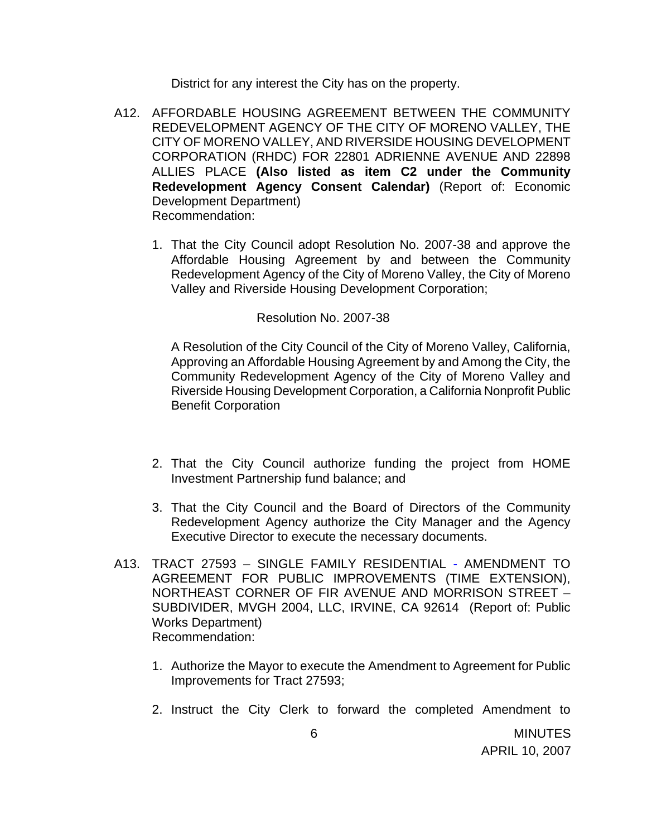District for any interest the City has on the property.

- A12. AFFORDABLE HOUSING AGREEMENT BETWEEN THE COMMUNITY REDEVELOPMENT AGENCY OF THE CITY OF MORENO VALLEY, THE CITY OF MORENO VALLEY, AND RIVERSIDE HOUSING DEVELOPMENT CORPORATION (RHDC) FOR 22801 ADRIENNE AVENUE AND 22898 ALLIES PLACE **(Also listed as item C2 under the Community Redevelopment Agency Consent Calendar)** (Report of: Economic Development Department)
	- Recommendation:
	- 1. That the City Council adopt Resolution No. 2007-38 and approve the Affordable Housing Agreement by and between the Community Redevelopment Agency of the City of Moreno Valley, the City of Moreno Valley and Riverside Housing Development Corporation;

#### Resolution No. 2007-38

A Resolution of the City Council of the City of Moreno Valley, California, Approving an Affordable Housing Agreement by and Among the City, the Community Redevelopment Agency of the City of Moreno Valley and Riverside Housing Development Corporation, a California Nonprofit Public Benefit Corporation

- 2. That the City Council authorize funding the project from HOME Investment Partnership fund balance; and
- 3. That the City Council and the Board of Directors of the Community Redevelopment Agency authorize the City Manager and the Agency Executive Director to execute the necessary documents.
- A13. TRACT 27593 SINGLE FAMILY RESIDENTIAL AMENDMENT TO AGREEMENT FOR PUBLIC IMPROVEMENTS (TIME EXTENSION), NORTHEAST CORNER OF FIR AVENUE AND MORRISON STREET – SUBDIVIDER, MVGH 2004, LLC, IRVINE, CA 92614 (Report of: Public Works Department) Recommendation:
	- 1. Authorize the Mayor to execute the Amendment to Agreement for Public Improvements for Tract 27593;
	- 2. Instruct the City Clerk to forward the completed Amendment to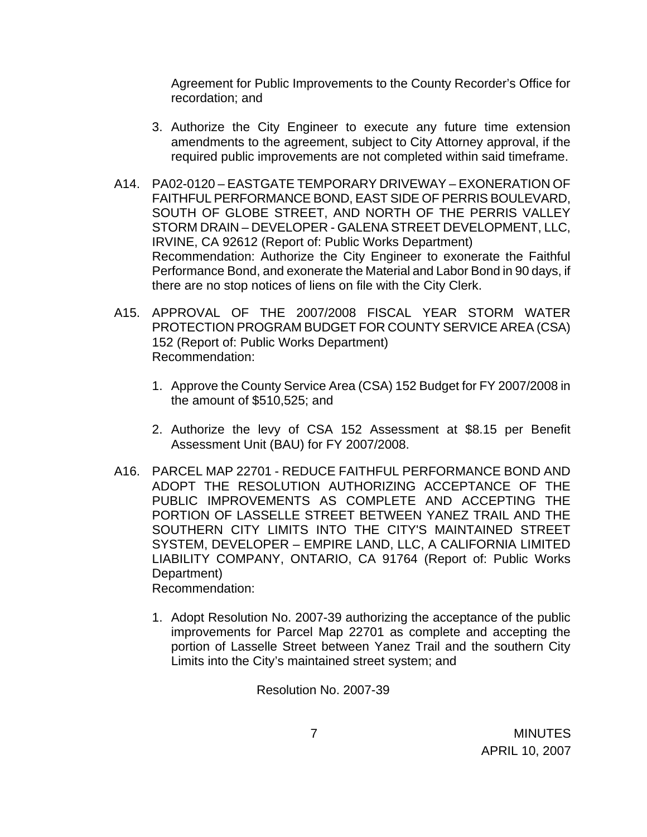Agreement for Public Improvements to the County Recorder's Office for recordation; and

- 3. Authorize the City Engineer to execute any future time extension amendments to the agreement, subject to City Attorney approval, if the required public improvements are not completed within said timeframe.
- A14. PA02-0120 EASTGATE TEMPORARY DRIVEWAY EXONERATION OF FAITHFUL PERFORMANCE BOND, EAST SIDE OF PERRIS BOULEVARD, SOUTH OF GLOBE STREET, AND NORTH OF THE PERRIS VALLEY STORM DRAIN – DEVELOPER - GALENA STREET DEVELOPMENT, LLC, IRVINE, CA 92612 (Report of: Public Works Department) Recommendation: Authorize the City Engineer to exonerate the Faithful Performance Bond, and exonerate the Material and Labor Bond in 90 days, if there are no stop notices of liens on file with the City Clerk.
- A15. APPROVAL OF THE 2007/2008 FISCAL YEAR STORM WATER PROTECTION PROGRAM BUDGET FOR COUNTY SERVICE AREA (CSA) 152 (Report of: Public Works Department) Recommendation:
	- 1. Approve the County Service Area (CSA) 152 Budget for FY 2007/2008 in the amount of \$510,525; and
	- 2. Authorize the levy of CSA 152 Assessment at \$8.15 per Benefit Assessment Unit (BAU) for FY 2007/2008.
- A16. PARCEL MAP 22701 REDUCE FAITHFUL PERFORMANCE BOND AND ADOPT THE RESOLUTION AUTHORIZING ACCEPTANCE OF THE PUBLIC IMPROVEMENTS AS COMPLETE AND ACCEPTING THE PORTION OF LASSELLE STREET BETWEEN YANEZ TRAIL AND THE SOUTHERN CITY LIMITS INTO THE CITY'S MAINTAINED STREET SYSTEM, DEVELOPER – EMPIRE LAND, LLC, A CALIFORNIA LIMITED LIABILITY COMPANY, ONTARIO, CA 91764 (Report of: Public Works Department) Recommendation:

1. Adopt Resolution No. 2007-39 authorizing the acceptance of the public improvements for Parcel Map 22701 as complete and accepting the portion of Lasselle Street between Yanez Trail and the southern City Limits into the City's maintained street system; and

Resolution No. 2007-39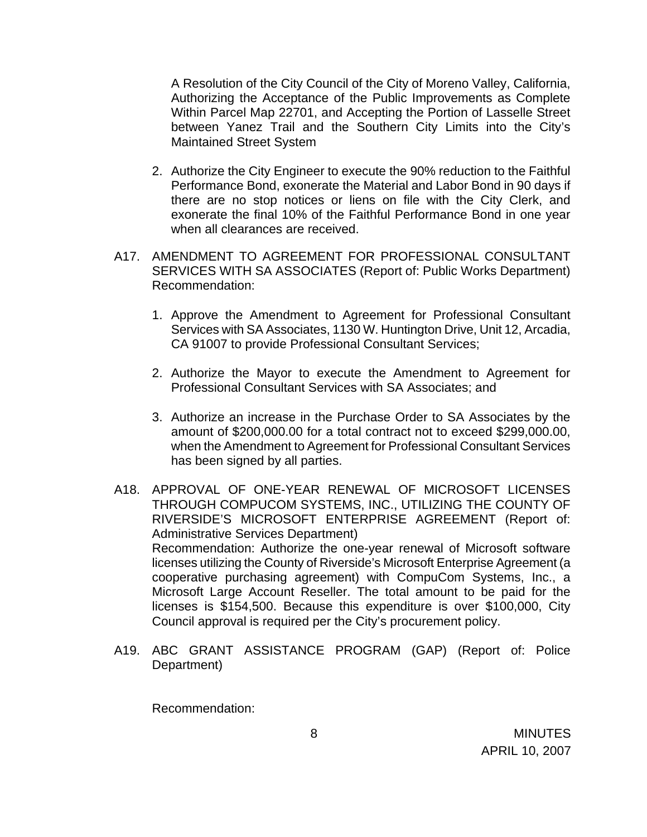A Resolution of the City Council of the City of Moreno Valley, California, Authorizing the Acceptance of the Public Improvements as Complete Within Parcel Map 22701, and Accepting the Portion of Lasselle Street between Yanez Trail and the Southern City Limits into the City's Maintained Street System

- 2. Authorize the City Engineer to execute the 90% reduction to the Faithful Performance Bond, exonerate the Material and Labor Bond in 90 days if there are no stop notices or liens on file with the City Clerk, and exonerate the final 10% of the Faithful Performance Bond in one year when all clearances are received.
- A17. AMENDMENT TO AGREEMENT FOR PROFESSIONAL CONSULTANT SERVICES WITH SA ASSOCIATES (Report of: Public Works Department) Recommendation:
	- 1. Approve the Amendment to Agreement for Professional Consultant Services with SA Associates, 1130 W. Huntington Drive, Unit 12, Arcadia, CA 91007 to provide Professional Consultant Services;
	- 2. Authorize the Mayor to execute the Amendment to Agreement for Professional Consultant Services with SA Associates; and
	- 3. Authorize an increase in the Purchase Order to SA Associates by the amount of \$200,000.00 for a total contract not to exceed \$299,000.00, when the Amendment to Agreement for Professional Consultant Services has been signed by all parties.
- A18. APPROVAL OF ONE-YEAR RENEWAL OF MICROSOFT LICENSES THROUGH COMPUCOM SYSTEMS, INC., UTILIZING THE COUNTY OF RIVERSIDE'S MICROSOFT ENTERPRISE AGREEMENT (Report of: Administrative Services Department) Recommendation: Authorize the one-year renewal of Microsoft software licenses utilizing the County of Riverside's Microsoft Enterprise Agreement (a cooperative purchasing agreement) with CompuCom Systems, Inc., a Microsoft Large Account Reseller. The total amount to be paid for the licenses is \$154,500. Because this expenditure is over \$100,000, City Council approval is required per the City's procurement policy.
- A19. ABC GRANT ASSISTANCE PROGRAM (GAP) (Report of: Police Department)

Recommendation: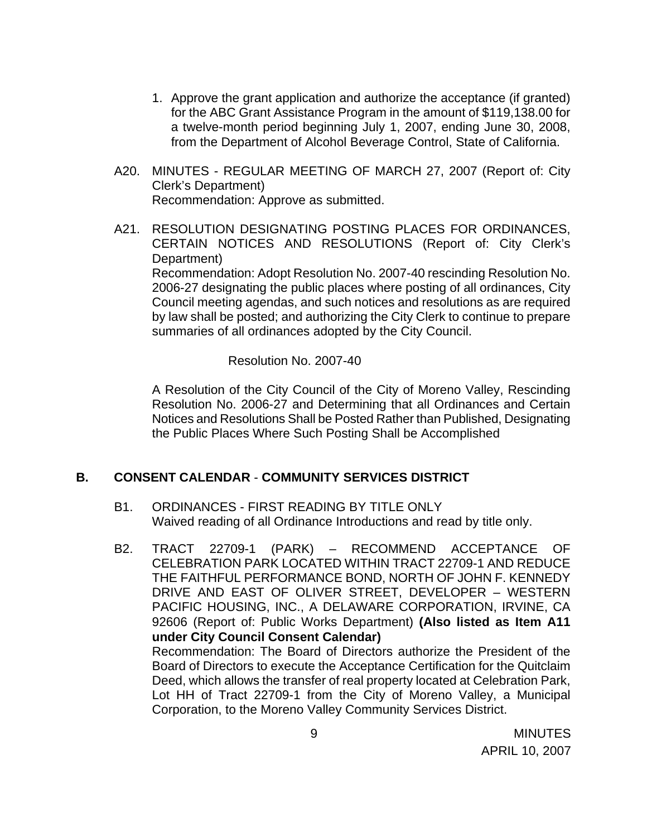- 1. Approve the grant application and authorize the acceptance (if granted) for the ABC Grant Assistance Program in the amount of \$119,138.00 for a twelve-month period beginning July 1, 2007, ending June 30, 2008, from the Department of Alcohol Beverage Control, State of California.
- A20. MINUTES REGULAR MEETING OF MARCH 27, 2007 (Report of: City Clerk's Department) Recommendation: Approve as submitted.
- A21. RESOLUTION DESIGNATING POSTING PLACES FOR ORDINANCES, CERTAIN NOTICES AND RESOLUTIONS (Report of: City Clerk's Department) Recommendation: Adopt Resolution No. 2007-40 rescinding Resolution No. 2006-27 designating the public places where posting of all ordinances, City Council meeting agendas, and such notices and resolutions as are required by law shall be posted; and authorizing the City Clerk to continue to prepare summaries of all ordinances adopted by the City Council.

Resolution No. 2007-40

 A Resolution of the City Council of the City of Moreno Valley, Rescinding Resolution No. 2006-27 and Determining that all Ordinances and Certain Notices and Resolutions Shall be Posted Rather than Published, Designating the Public Places Where Such Posting Shall be Accomplished

### **B. CONSENT CALENDAR** - **COMMUNITY SERVICES DISTRICT**

- B1. ORDINANCES FIRST READING BY TITLE ONLY Waived reading of all Ordinance Introductions and read by title only.
- B2. TRACT 22709-1 (PARK) RECOMMEND ACCEPTANCE OF CELEBRATION PARK LOCATED WITHIN TRACT 22709-1 AND REDUCE THE FAITHFUL PERFORMANCE BOND, NORTH OF JOHN F. KENNEDY DRIVE AND EAST OF OLIVER STREET, DEVELOPER – WESTERN PACIFIC HOUSING, INC., A DELAWARE CORPORATION, IRVINE, CA 92606 (Report of: Public Works Department) **(Also listed as Item A11 under City Council Consent Calendar)**  Recommendation: The Board of Directors authorize the President of the Board of Directors to execute the Acceptance Certification for the Quitclaim Deed, which allows the transfer of real property located at Celebration Park, Lot HH of Tract 22709-1 from the City of Moreno Valley, a Municipal Corporation, to the Moreno Valley Community Services District.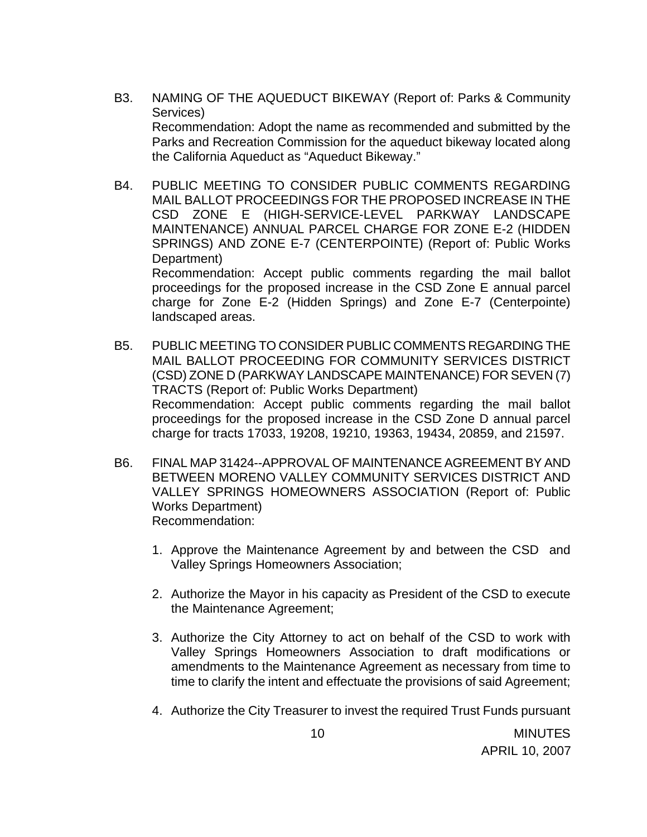- B3. NAMING OF THE AQUEDUCT BIKEWAY (Report of: Parks & Community Services) Recommendation: Adopt the name as recommended and submitted by the Parks and Recreation Commission for the aqueduct bikeway located along the California Aqueduct as "Aqueduct Bikeway."
- B4. PUBLIC MEETING TO CONSIDER PUBLIC COMMENTS REGARDING MAIL BALLOT PROCEEDINGS FOR THE PROPOSED INCREASE IN THE CSD ZONE E (HIGH-SERVICE-LEVEL PARKWAY LANDSCAPE MAINTENANCE) ANNUAL PARCEL CHARGE FOR ZONE E-2 (HIDDEN SPRINGS) AND ZONE E-7 (CENTERPOINTE) (Report of: Public Works Department) Recommendation: Accept public comments regarding the mail ballot proceedings for the proposed increase in the CSD Zone E annual parcel

charge for Zone E-2 (Hidden Springs) and Zone E-7 (Centerpointe) landscaped areas.

- B5. PUBLIC MEETING TO CONSIDER PUBLIC COMMENTS REGARDING THE MAIL BALLOT PROCEEDING FOR COMMUNITY SERVICES DISTRICT (CSD) ZONE D (PARKWAY LANDSCAPE MAINTENANCE) FOR SEVEN (7) TRACTS (Report of: Public Works Department) Recommendation: Accept public comments regarding the mail ballot proceedings for the proposed increase in the CSD Zone D annual parcel charge for tracts 17033, 19208, 19210, 19363, 19434, 20859, and 21597.
- B6. FINAL MAP 31424--APPROVAL OF MAINTENANCE AGREEMENT BY AND BETWEEN MORENO VALLEY COMMUNITY SERVICES DISTRICT AND VALLEY SPRINGS HOMEOWNERS ASSOCIATION (Report of: Public Works Department) Recommendation:
	- 1. Approve the Maintenance Agreement by and between the CSD and Valley Springs Homeowners Association;
	- 2. Authorize the Mayor in his capacity as President of the CSD to execute the Maintenance Agreement;
	- 3. Authorize the City Attorney to act on behalf of the CSD to work with Valley Springs Homeowners Association to draft modifications or amendments to the Maintenance Agreement as necessary from time to time to clarify the intent and effectuate the provisions of said Agreement;
	- 4. Authorize the City Treasurer to invest the required Trust Funds pursuant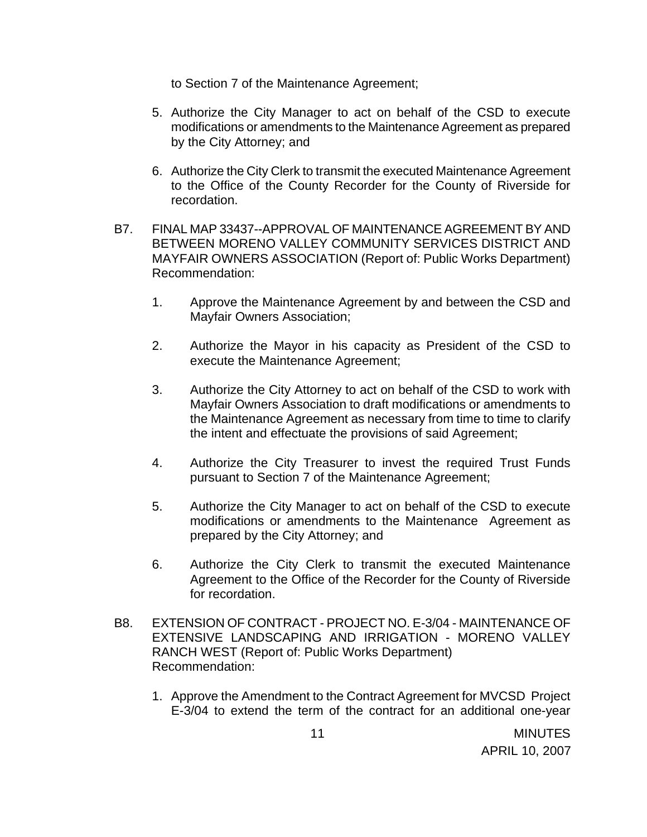to Section 7 of the Maintenance Agreement;

- 5. Authorize the City Manager to act on behalf of the CSD to execute modifications or amendments to the Maintenance Agreement as prepared by the City Attorney; and
- 6. Authorize the City Clerk to transmit the executed Maintenance Agreement to the Office of the County Recorder for the County of Riverside for recordation.
- B7. FINAL MAP 33437--APPROVAL OF MAINTENANCE AGREEMENT BY AND BETWEEN MORENO VALLEY COMMUNITY SERVICES DISTRICT AND MAYFAIR OWNERS ASSOCIATION (Report of: Public Works Department) Recommendation:
	- 1. Approve the Maintenance Agreement by and between the CSD and Mayfair Owners Association;
	- 2. Authorize the Mayor in his capacity as President of the CSD to execute the Maintenance Agreement;
	- 3. Authorize the City Attorney to act on behalf of the CSD to work with Mayfair Owners Association to draft modifications or amendments to the Maintenance Agreement as necessary from time to time to clarify the intent and effectuate the provisions of said Agreement;
	- 4. Authorize the City Treasurer to invest the required Trust Funds pursuant to Section 7 of the Maintenance Agreement;
	- 5. Authorize the City Manager to act on behalf of the CSD to execute modifications or amendments to the Maintenance Agreement as prepared by the City Attorney; and
	- 6. Authorize the City Clerk to transmit the executed Maintenance Agreement to the Office of the Recorder for the County of Riverside for recordation.
- B8. EXTENSION OF CONTRACT PROJECT NO. E-3/04 MAINTENANCE OF EXTENSIVE LANDSCAPING AND IRRIGATION - MORENO VALLEY RANCH WEST (Report of: Public Works Department) Recommendation:
	- 1. Approve the Amendment to the Contract Agreement for MVCSD Project E-3/04 to extend the term of the contract for an additional one-year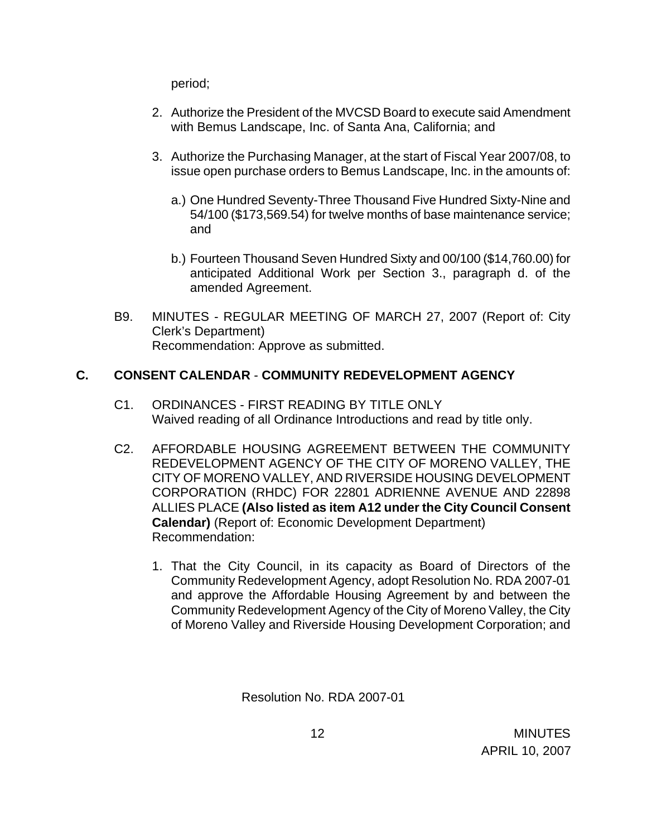period;

- 2. Authorize the President of the MVCSD Board to execute said Amendment with Bemus Landscape, Inc. of Santa Ana, California; and
- 3. Authorize the Purchasing Manager, at the start of Fiscal Year 2007/08, to issue open purchase orders to Bemus Landscape, Inc. in the amounts of:
	- a.) One Hundred Seventy-Three Thousand Five Hundred Sixty-Nine and 54/100 (\$173,569.54) for twelve months of base maintenance service; and
	- b.) Fourteen Thousand Seven Hundred Sixty and 00/100 (\$14,760.00) for anticipated Additional Work per Section 3., paragraph d. of the amended Agreement.
- B9. MINUTES REGULAR MEETING OF MARCH 27, 2007 (Report of: City Clerk's Department) Recommendation: Approve as submitted.

# **C. CONSENT CALENDAR** - **COMMUNITY REDEVELOPMENT AGENCY**

- C1. ORDINANCES FIRST READING BY TITLE ONLY Waived reading of all Ordinance Introductions and read by title only.
- C2. AFFORDABLE HOUSING AGREEMENT BETWEEN THE COMMUNITY REDEVELOPMENT AGENCY OF THE CITY OF MORENO VALLEY, THE CITY OF MORENO VALLEY, AND RIVERSIDE HOUSING DEVELOPMENT CORPORATION (RHDC) FOR 22801 ADRIENNE AVENUE AND 22898 ALLIES PLACE **(Also listed as item A12 under the City Council Consent Calendar)** (Report of: Economic Development Department) Recommendation:
	- 1. That the City Council, in its capacity as Board of Directors of the Community Redevelopment Agency, adopt Resolution No. RDA 2007-01 and approve the Affordable Housing Agreement by and between the Community Redevelopment Agency of the City of Moreno Valley, the City of Moreno Valley and Riverside Housing Development Corporation; and

Resolution No. RDA 2007-01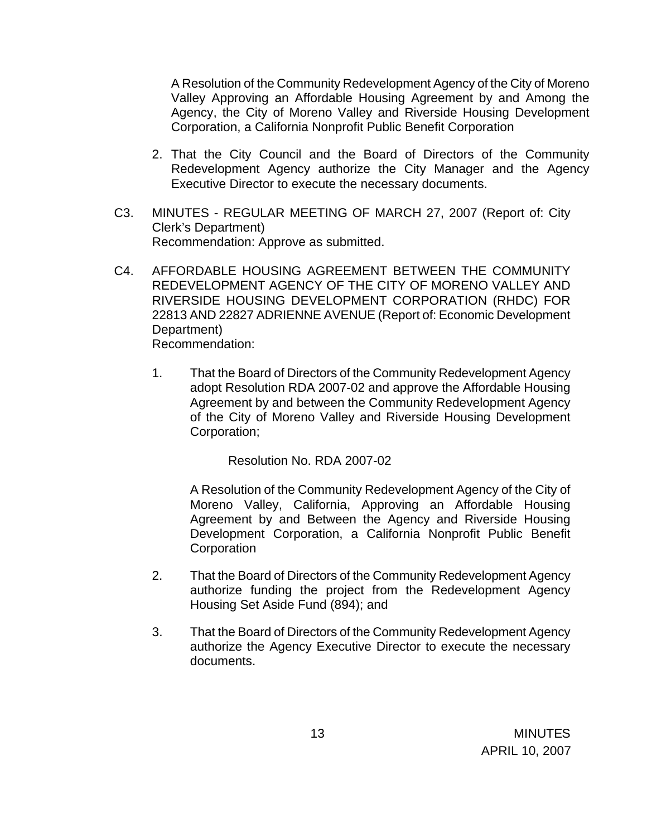A Resolution of the Community Redevelopment Agency of the City of Moreno Valley Approving an Affordable Housing Agreement by and Among the Agency, the City of Moreno Valley and Riverside Housing Development Corporation, a California Nonprofit Public Benefit Corporation

- 2. That the City Council and the Board of Directors of the Community Redevelopment Agency authorize the City Manager and the Agency Executive Director to execute the necessary documents.
- C3. MINUTES REGULAR MEETING OF MARCH 27, 2007 (Report of: City Clerk's Department) Recommendation: Approve as submitted.
- C4. AFFORDABLE HOUSING AGREEMENT BETWEEN THE COMMUNITY REDEVELOPMENT AGENCY OF THE CITY OF MORENO VALLEY AND RIVERSIDE HOUSING DEVELOPMENT CORPORATION (RHDC) FOR 22813 AND 22827 ADRIENNE AVENUE (Report of: Economic Development Department) Recommendation:
	- 1. That the Board of Directors of the Community Redevelopment Agency adopt Resolution RDA 2007-02 and approve the Affordable Housing Agreement by and between the Community Redevelopment Agency of the City of Moreno Valley and Riverside Housing Development Corporation;

Resolution No. RDA 2007-02

A Resolution of the Community Redevelopment Agency of the City of Moreno Valley, California, Approving an Affordable Housing Agreement by and Between the Agency and Riverside Housing Development Corporation, a California Nonprofit Public Benefit **Corporation** 

- 2. That the Board of Directors of the Community Redevelopment Agency authorize funding the project from the Redevelopment Agency Housing Set Aside Fund (894); and
- 3. That the Board of Directors of the Community Redevelopment Agency authorize the Agency Executive Director to execute the necessary documents.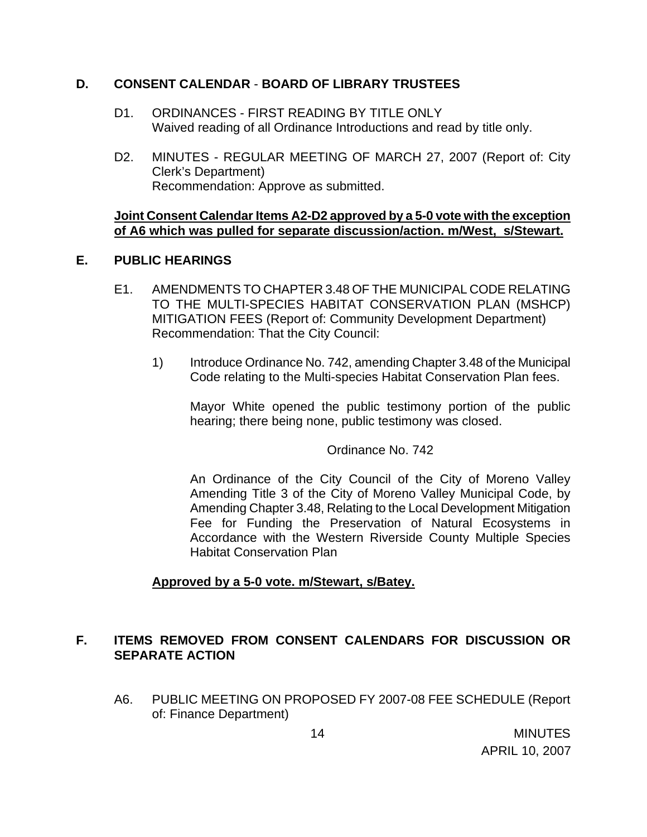### **D. CONSENT CALENDAR** - **BOARD OF LIBRARY TRUSTEES**

- D1. ORDINANCES FIRST READING BY TITLE ONLY Waived reading of all Ordinance Introductions and read by title only.
- D2. MINUTES REGULAR MEETING OF MARCH 27, 2007 (Report of: City Clerk's Department) Recommendation: Approve as submitted.

### **Joint Consent Calendar Items A2-D2 approved by a 5-0 vote with the exception of A6 which was pulled for separate discussion/action. m/West, s/Stewart.**

## **E. PUBLIC HEARINGS**

- E1. AMENDMENTS TO CHAPTER 3.48 OF THE MUNICIPAL CODE RELATING TO THE MULTI-SPECIES HABITAT CONSERVATION PLAN (MSHCP) MITIGATION FEES (Report of: Community Development Department) Recommendation: That the City Council:
	- 1) Introduce Ordinance No. 742, amending Chapter 3.48 of the Municipal Code relating to the Multi-species Habitat Conservation Plan fees.

 Mayor White opened the public testimony portion of the public hearing; there being none, public testimony was closed.

Ordinance No. 742

An Ordinance of the City Council of the City of Moreno Valley Amending Title 3 of the City of Moreno Valley Municipal Code, by Amending Chapter 3.48, Relating to the Local Development Mitigation Fee for Funding the Preservation of Natural Ecosystems in Accordance with the Western Riverside County Multiple Species Habitat Conservation Plan

# **Approved by a 5-0 vote. m/Stewart, s/Batey.**

# **F. ITEMS REMOVED FROM CONSENT CALENDARS FOR DISCUSSION OR SEPARATE ACTION**

A6. PUBLIC MEETING ON PROPOSED FY 2007-08 FEE SCHEDULE (Report of: Finance Department)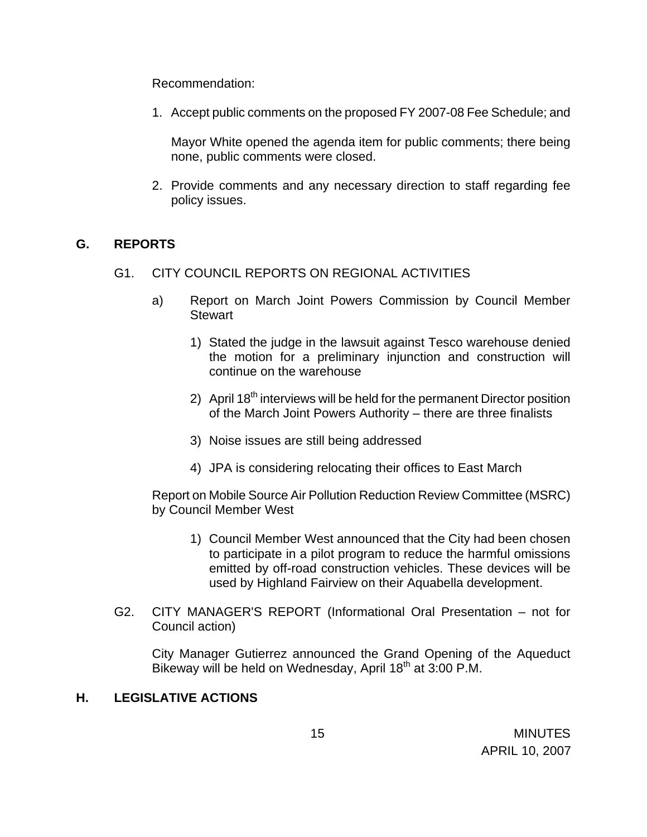Recommendation:

1. Accept public comments on the proposed FY 2007-08 Fee Schedule; and

Mayor White opened the agenda item for public comments; there being none, public comments were closed.

2. Provide comments and any necessary direction to staff regarding fee policy issues.

## **G. REPORTS**

- G1. CITY COUNCIL REPORTS ON REGIONAL ACTIVITIES
	- a) Report on March Joint Powers Commission by Council Member **Stewart** 
		- 1) Stated the judge in the lawsuit against Tesco warehouse denied the motion for a preliminary injunction and construction will continue on the warehouse
		- 2) April  $18<sup>th</sup>$  interviews will be held for the permanent Director position of the March Joint Powers Authority – there are three finalists
		- 3) Noise issues are still being addressed
		- 4) JPA is considering relocating their offices to East March

 Report on Mobile Source Air Pollution Reduction Review Committee (MSRC) by Council Member West

- 1) Council Member West announced that the City had been chosen to participate in a pilot program to reduce the harmful omissions emitted by off-road construction vehicles. These devices will be used by Highland Fairview on their Aquabella development.
- G2. CITY MANAGER'S REPORT (Informational Oral Presentation not for Council action)

City Manager Gutierrez announced the Grand Opening of the Aqueduct Bikeway will be held on Wednesday, April  $18<sup>th</sup>$  at 3:00 P.M.

## **H. LEGISLATIVE ACTIONS**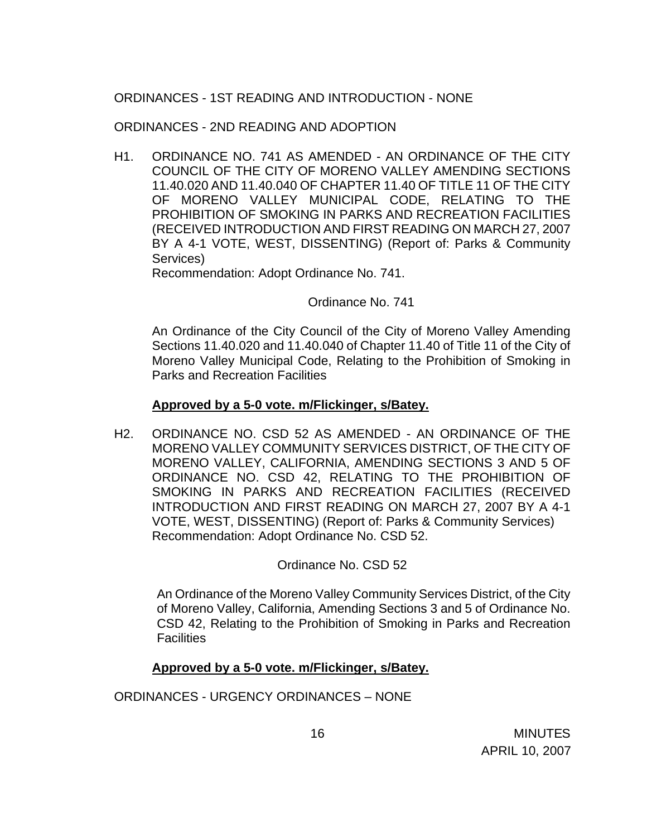# ORDINANCES - 1ST READING AND INTRODUCTION - NONE

ORDINANCES - 2ND READING AND ADOPTION

H1. ORDINANCE NO. 741 AS AMENDED - AN ORDINANCE OF THE CITY COUNCIL OF THE CITY OF MORENO VALLEY AMENDING SECTIONS 11.40.020 AND 11.40.040 OF CHAPTER 11.40 OF TITLE 11 OF THE CITY OF MORENO VALLEY MUNICIPAL CODE, RELATING TO THE PROHIBITION OF SMOKING IN PARKS AND RECREATION FACILITIES (RECEIVED INTRODUCTION AND FIRST READING ON MARCH 27, 2007 BY A 4-1 VOTE, WEST, DISSENTING) (Report of: Parks & Community Services)

Recommendation: Adopt Ordinance No. 741.

Ordinance No. 741

An Ordinance of the City Council of the City of Moreno Valley Amending Sections 11.40.020 and 11.40.040 of Chapter 11.40 of Title 11 of the City of Moreno Valley Municipal Code, Relating to the Prohibition of Smoking in Parks and Recreation Facilities

#### **Approved by a 5-0 vote. m/Flickinger, s/Batey.**

H2. ORDINANCE NO. CSD 52 AS AMENDED - AN ORDINANCE OF THE MORENO VALLEY COMMUNITY SERVICES DISTRICT, OF THE CITY OF MORENO VALLEY, CALIFORNIA, AMENDING SECTIONS 3 AND 5 OF ORDINANCE NO. CSD 42, RELATING TO THE PROHIBITION OF SMOKING IN PARKS AND RECREATION FACILITIES (RECEIVED INTRODUCTION AND FIRST READING ON MARCH 27, 2007 BY A 4-1 VOTE, WEST, DISSENTING) (Report of: Parks & Community Services) Recommendation: Adopt Ordinance No. CSD 52.

Ordinance No. CSD 52

 An Ordinance of the Moreno Valley Community Services District, of the City of Moreno Valley, California, Amending Sections 3 and 5 of Ordinance No. CSD 42, Relating to the Prohibition of Smoking in Parks and Recreation Facilities

### **Approved by a 5-0 vote. m/Flickinger, s/Batey.**

ORDINANCES - URGENCY ORDINANCES – NONE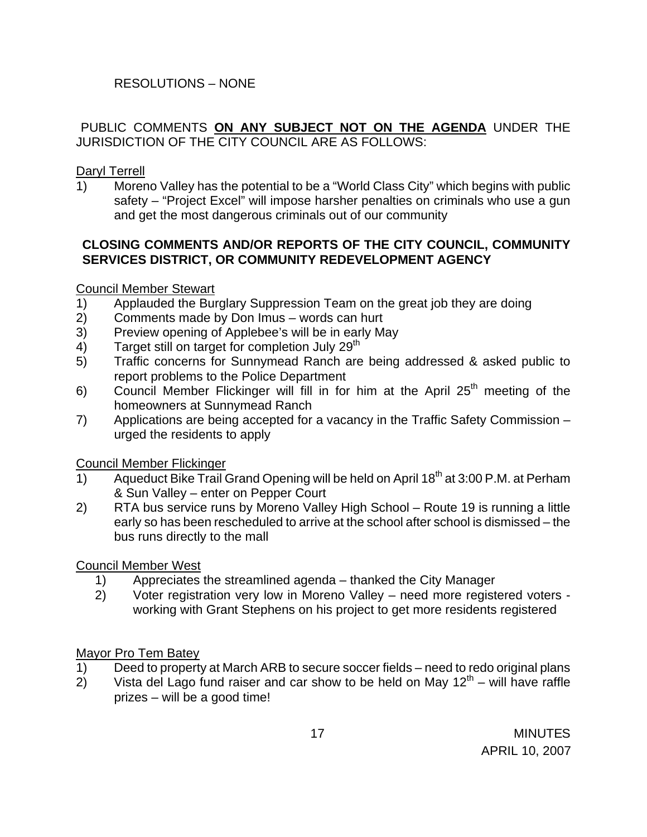# RESOLUTIONS – NONE

## PUBLIC COMMENTS **ON ANY SUBJECT NOT ON THE AGENDA** UNDER THE JURISDICTION OF THE CITY COUNCIL ARE AS FOLLOWS:

Daryl Terrell

1) Moreno Valley has the potential to be a "World Class City" which begins with public safety – "Project Excel" will impose harsher penalties on criminals who use a gun and get the most dangerous criminals out of our community

# **CLOSING COMMENTS AND/OR REPORTS OF THE CITY COUNCIL, COMMUNITY SERVICES DISTRICT, OR COMMUNITY REDEVELOPMENT AGENCY**

## Council Member Stewart

- 1) Applauded the Burglary Suppression Team on the great job they are doing
- 2) Comments made by Don Imus words can hurt
- 3) Preview opening of Applebee's will be in early May
- 4) Target still on target for completion July  $29<sup>th</sup>$
- 5) Traffic concerns for Sunnymead Ranch are being addressed & asked public to report problems to the Police Department
- 6) Council Member Flickinger will fill in for him at the April  $25<sup>th</sup>$  meeting of the homeowners at Sunnymead Ranch
- 7) Applications are being accepted for a vacancy in the Traffic Safety Commission urged the residents to apply

Council Member Flickinger

- 1) Aqueduct Bike Trail Grand Opening will be held on April  $18<sup>th</sup>$  at 3:00 P.M. at Perham & Sun Valley – enter on Pepper Court
- 2) RTA bus service runs by Moreno Valley High School Route 19 is running a little early so has been rescheduled to arrive at the school after school is dismissed – the bus runs directly to the mall

Council Member West

- 1) Appreciates the streamlined agenda thanked the City Manager
- 2) Voter registration very low in Moreno Valley need more registered voters working with Grant Stephens on his project to get more residents registered

# Mayor Pro Tem Batey

- 1) Deed to property at March ARB to secure soccer fields need to redo original plans
- 2) Vista del Lago fund raiser and car show to be held on May  $12<sup>th</sup>$  will have raffle prizes – will be a good time!